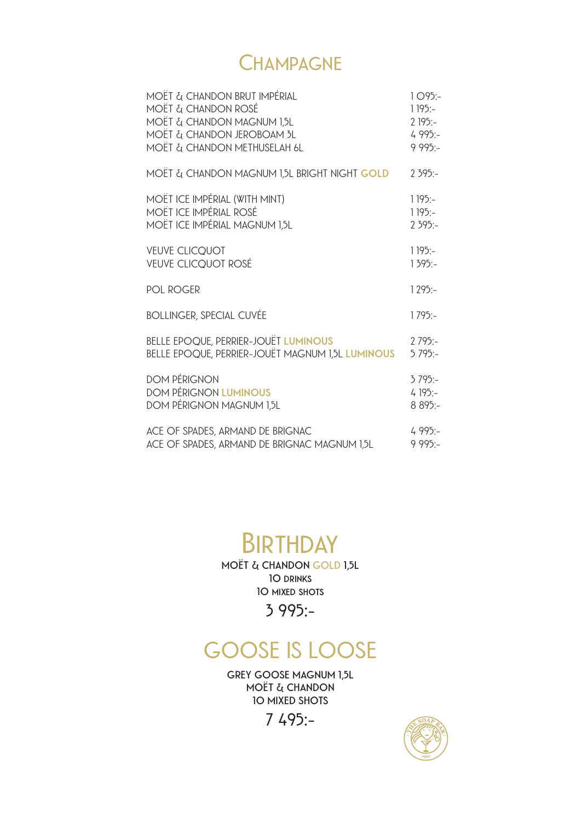### **Champagne**

| MOËT & CHANDON BRUT IMPÉRIAL                            | $1095:-$ |
|---------------------------------------------------------|----------|
| <b>MOËT &amp; CHANDON ROSÉ</b>                          | $1195:-$ |
| MOËT & CHANDON MAGNUM 1,5L                              | $2195:-$ |
| MOËT & CHANDON JEROBOAM 3L                              | $4995:-$ |
| MOËT & CHANDON METHUSELAH 6L                            | $995:-$  |
| MOËT & CHANDON MAGNUM 1,5L BRIGHT NIGHT <b>GOLD</b>     | $2395:-$ |
| MOËT ICE IMPÉRIAL (WITH MINT)                           | $1195:-$ |
| <b>MOËT ICE IMPÉRIAL ROSÉ</b>                           | $1195:-$ |
| MOËT ICE IMPÉRIAL MAGNUM 1,5L                           | $2395:-$ |
| <b>VEUVE CLICOUOT</b>                                   | $1195:-$ |
| <b>VEUVE CLICQUOT ROSÉ</b>                              | $1395:-$ |
| <b>POL ROGER</b>                                        | $1295:-$ |
| <b>BOLLINGER, SPECIAL CUVÉE</b>                         | $1795:-$ |
| <b>BELLE EPOQUE, PERRIER-JOUËT LUMINOUS</b>             | $2795:-$ |
| <b>BELLE EPOQUE, PERRIER-JOUËT MAGNUM 1,5L LUMINOUS</b> | $5795:-$ |
| <b>DOM PÉRIGNON</b>                                     | $3795:-$ |
| <b>DOM PÉRIGNON LUMINOUS</b>                            | $4195:-$ |
| DOM PÉRIGNON MAGNUM 1,5L                                | 8 895:-  |
| ACE OF SPADES, ARMAND DE BRIGNAC                        | $4995:-$ |
| ACE OF SPADES, ARMAND DE BRIGNAC MAGNUM 1,5L            | $995:-$  |

# **Birthday**

**MOËT & CHANDON GOLD 1,5L 10 drinks 10 mixed shots**

**3 995:-**

## **GOOSE IS LOOSE**

**GREY GOOSE MAGNUM 1,5L MOËT & CHANDON 10 MIXED SHOTS**

**7 495:-**